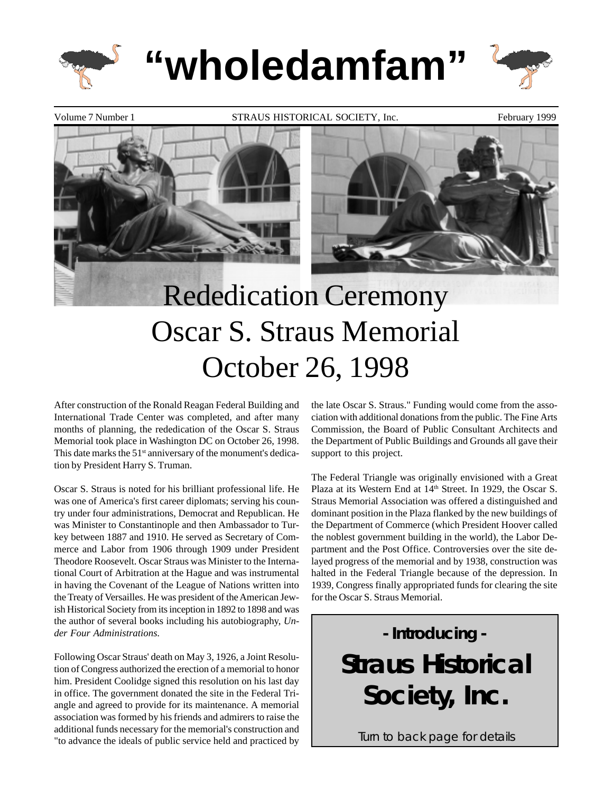

**"wholedamfam"**



Volume 7 Number 1 **STRAUS HISTORICAL SOCIETY**, Inc. February 1999



# Rededication Ceremony Oscar S. Straus Memorial October 26, 1998

After construction of the Ronald Reagan Federal Building and International Trade Center was completed, and after many months of planning, the rededication of the Oscar S. Straus Memorial took place in Washington DC on October 26, 1998. This date marks the  $51<sup>st</sup>$  anniversary of the monument's dedication by President Harry S. Truman.

Oscar S. Straus is noted for his brilliant professional life. He was one of America's first career diplomats; serving his country under four administrations, Democrat and Republican. He was Minister to Constantinople and then Ambassador to Turkey between 1887 and 1910. He served as Secretary of Commerce and Labor from 1906 through 1909 under President Theodore Roosevelt. Oscar Straus was Minister to the International Court of Arbitration at the Hague and was instrumental in having the Covenant of the League of Nations written into the Treaty of Versailles. He was president of the American Jewish Historical Society from its inception in 1892 to 1898 and was the author of several books including his autobiography, *Under Four Administrations.*

Following Oscar Straus' death on May 3, 1926, a Joint Resolution of Congress authorized the erection of a memorial to honor him. President Coolidge signed this resolution on his last day in office. The government donated the site in the Federal Triangle and agreed to provide for its maintenance. A memorial association was formed by his friends and admirers to raise the additional funds necessary for the memorial's construction and "to advance the ideals of public service held and practiced by

the late Oscar S. Straus." Funding would come from the association with additional donations from the public. The Fine Arts Commission, the Board of Public Consultant Architects and the Department of Public Buildings and Grounds all gave their support to this project.

The Federal Triangle was originally envisioned with a Great Plaza at its Western End at 14<sup>th</sup> Street. In 1929, the Oscar S. Straus Memorial Association was offered a distinguished and dominant position in the Plaza flanked by the new buildings of the Department of Commerce (which President Hoover called the noblest government building in the world), the Labor Department and the Post Office. Controversies over the site delayed progress of the memorial and by 1938, construction was halted in the Federal Triangle because of the depression. In 1939, Congress finally appropriated funds for clearing the site for the Oscar S. Straus Memorial.

> - Introducing - Straus Historical Society, Inc.

Turn to back page for details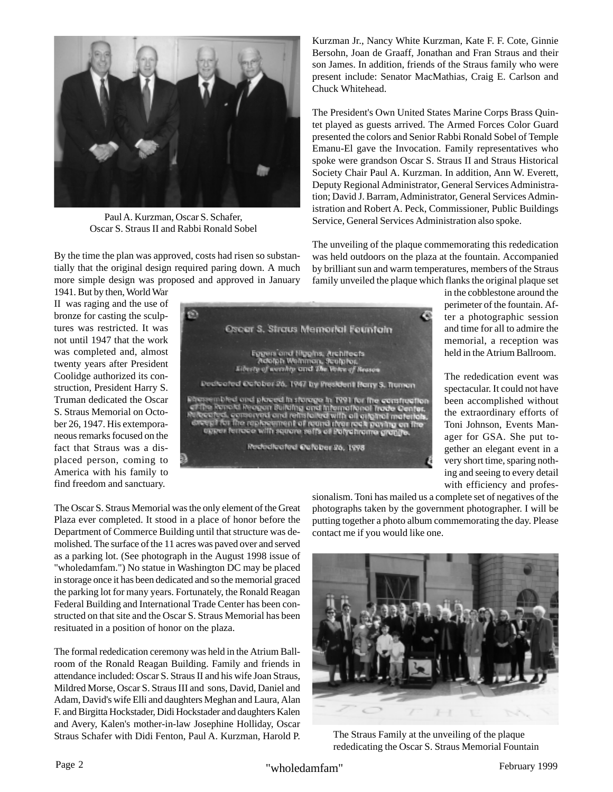

Paul A. Kurzman, Oscar S. Schafer, Oscar S. Straus II and Rabbi Ronald Sobel

By the time the plan was approved, costs had risen so substantially that the original design required paring down. A much more simple design was proposed and approved in January Kurzman Jr., Nancy White Kurzman, Kate F. F. Cote, Ginnie Bersohn, Joan de Graaff, Jonathan and Fran Straus and their son James. In addition, friends of the Straus family who were present include: Senator MacMathias, Craig E. Carlson and Chuck Whitehead.

The President's Own United States Marine Corps Brass Quintet played as guests arrived. The Armed Forces Color Guard presented the colors and Senior Rabbi Ronald Sobel of Temple Emanu-El gave the Invocation. Family representatives who spoke were grandson Oscar S. Straus II and Straus Historical Society Chair Paul A. Kurzman. In addition, Ann W. Everett, Deputy Regional Administrator, General Services Administration; David J. Barram, Administrator, General Services Administration and Robert A. Peck, Commissioner, Public Buildings Service, General Services Administration also spoke.

The unveiling of the plaque commemorating this rededication was held outdoors on the plaza at the fountain. Accompanied by brilliant sun and warm temperatures, members of the Straus family unveiled the plaque which flanks the original plaque set

1941. But by then, World War II was raging and the use of bronze for casting the sculptures was restricted. It was not until 1947 that the work was completed and, almost twenty years after President Coolidge authorized its construction, President Harry S. Truman dedicated the Oscar S. Straus Memorial on October 26, 1947. His extemporaneous remarks focused on the fact that Straus was a displaced person, coming to America with his family to find freedom and sanctuary.



in the cobblestone around the perimeter of the fountain. After a photographic session and time for all to admire the memorial, a reception was held in the Atrium Ballroom.

The rededication event was spectacular. It could not have been accomplished without the extraordinary efforts of Toni Johnson, Events Manager for GSA. She put together an elegant event in a very short time, sparing nothing and seeing to every detail with efficiency and profes-

The Oscar S. Straus Memorial was the only element of the Great Plaza ever completed. It stood in a place of honor before the Department of Commerce Building until that structure was demolished. The surface of the 11 acres was paved over and served as a parking lot. (See photograph in the August 1998 issue of "wholedamfam.") No statue in Washington DC may be placed in storage once it has been dedicated and so the memorial graced the parking lot for many years. Fortunately, the Ronald Reagan Federal Building and International Trade Center has been constructed on that site and the Oscar S. Straus Memorial has been resituated in a position of honor on the plaza.

The formal rededication ceremony was held in the Atrium Ballroom of the Ronald Reagan Building. Family and friends in attendance included: Oscar S. Straus II and his wife Joan Straus, Mildred Morse, Oscar S. Straus III and sons, David, Daniel and Adam, David's wife Elli and daughters Meghan and Laura, Alan F. and Birgitta Hockstader, Didi Hockstader and daughters Kalen and Avery, Kalen's mother-in-law Josephine Holliday, Oscar Straus Schafer with Didi Fenton, Paul A. Kurzman, Harold P.

sionalism. Toni has mailed us a complete set of negatives of the photographs taken by the government photographer. I will be putting together a photo album commemorating the day. Please contact me if you would like one.



The Straus Family at the unveiling of the plaque rededicating the Oscar S. Straus Memorial Fountain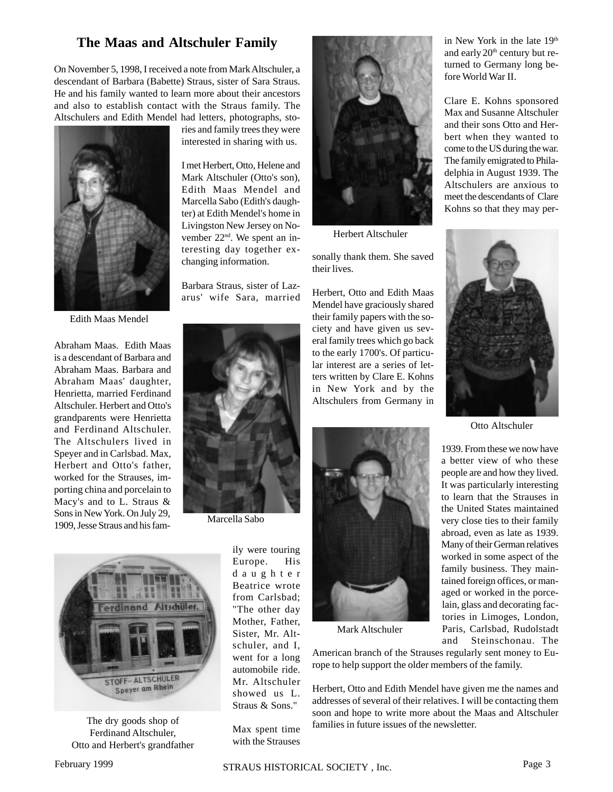### **The Maas and Altschuler Family**

On November 5, 1998, I received a note from Mark Altschuler, a descendant of Barbara (Babette) Straus, sister of Sara Straus. He and his family wanted to learn more about their ancestors and also to establish contact with the Straus family. The Altschulers and Edith Mendel had letters, photographs, sto-



Edith Maas Mendel

Abraham Maas. Edith Maas is a descendant of Barbara and Abraham Maas. Barbara and Abraham Maas' daughter, Henrietta, married Ferdinand Altschuler. Herbert and Otto's grandparents were Henrietta and Ferdinand Altschuler. The Altschulers lived in Speyer and in Carlsbad. Max, Herbert and Otto's father, worked for the Strauses, importing china and porcelain to Macy's and to L. Straus & Sons in New York. On July 29, 1909, Jesse Straus and his fam-



ries and family trees they were interested in sharing with us.

I met Herbert, Otto, Helene and Mark Altschuler (Otto's son), Edith Maas Mendel and Marcella Sabo (Edith's daughter) at Edith Mendel's home in Livingston New Jersey on November 22<sup>nd</sup>. We spent an interesting day together exchanging information.

Barbara Straus, sister of Lazarus' wife Sara, married

Marcella Sabo



The dry goods shop of Ferdinand Altschuler, Otto and Herbert's grandfather

ily were touring Europe. His daughter Beatrice wrote from Carlsbad; "The other day Mother, Father, Sister, Mr. Altschuler, and I, went for a long automobile ride. Mr. Altschuler showed us L. Straus & Sons."

Max spent time with the Strauses



Herbert Altschuler

sonally thank them. She saved their lives.

Herbert, Otto and Edith Maas Mendel have graciously shared their family papers with the society and have given us several family trees which go back to the early 1700's. Of particular interest are a series of letters written by Clare E. Kohns in New York and by the Altschulers from Germany in



Mark Altschuler

American branch of the Strauses regularly sent money to Europe to help support the older members of the family.

Herbert, Otto and Edith Mendel have given me the names and addresses of several of their relatives. I will be contacting them soon and hope to write more about the Maas and Altschuler families in future issues of the newsletter.

in New York in the late 19th and early  $20<sup>th</sup>$  century but returned to Germany long before World War II.

Clare E. Kohns sponsored Max and Susanne Altschuler and their sons Otto and Herbert when they wanted to come to the US during the war. The family emigrated to Philadelphia in August 1939. The Altschulers are anxious to meet the descendants of Clare Kohns so that they may per-



Otto Altschuler

1939. From these we now have a better view of who these people are and how they lived. It was particularly interesting to learn that the Strauses in the United States maintained very close ties to their family abroad, even as late as 1939. Many of their German relatives worked in some aspect of the family business. They maintained foreign offices, or managed or worked in the porcelain, glass and decorating factories in Limoges, London, Paris, Carlsbad, Rudolstadt and Steinschonau. The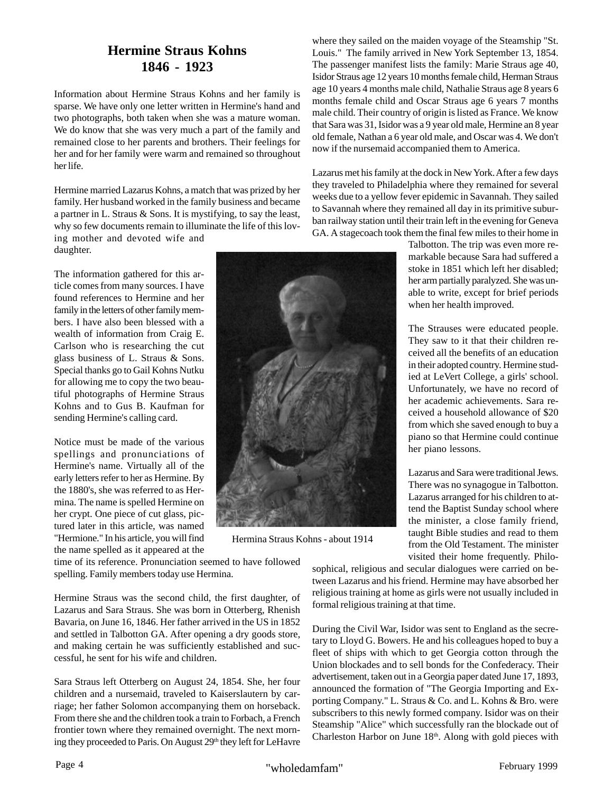## **Hermine Straus Kohns 1846 - 1923**

Information about Hermine Straus Kohns and her family is sparse. We have only one letter written in Hermine's hand and two photographs, both taken when she was a mature woman. We do know that she was very much a part of the family and remained close to her parents and brothers. Their feelings for her and for her family were warm and remained so throughout her life.

Hermine married Lazarus Kohns, a match that was prized by her family. Her husband worked in the family business and became a partner in L. Straus & Sons. It is mystifying, to say the least, why so few documents remain to illuminate the life of this loving mother and devoted wife and daughter.

The information gathered for this article comes from many sources. I have found references to Hermine and her family in the letters of other family members. I have also been blessed with a wealth of information from Craig E. Carlson who is researching the cut glass business of L. Straus & Sons. Special thanks go to Gail Kohns Nutku for allowing me to copy the two beautiful photographs of Hermine Straus Kohns and to Gus B. Kaufman for sending Hermine's calling card.

Notice must be made of the various spellings and pronunciations of Hermine's name. Virtually all of the early letters refer to her as Hermine. By the 1880's, she was referred to as Hermina. The name is spelled Hermine on her crypt. One piece of cut glass, pictured later in this article, was named "Hermione." In his article, you will find the name spelled as it appeared at the

time of its reference. Pronunciation seemed to have followed spelling. Family members today use Hermina.

Hermine Straus was the second child, the first daughter, of Lazarus and Sara Straus. She was born in Otterberg, Rhenish Bavaria, on June 16, 1846. Her father arrived in the US in 1852 and settled in Talbotton GA. After opening a dry goods store, and making certain he was sufficiently established and successful, he sent for his wife and children.

Sara Straus left Otterberg on August 24, 1854. She, her four children and a nursemaid, traveled to Kaiserslautern by carriage; her father Solomon accompanying them on horseback. From there she and the children took a train to Forbach, a French frontier town where they remained overnight. The next morning they proceeded to Paris. On August 29<sup>th</sup> they left for LeHavre

where they sailed on the maiden voyage of the Steamship "St. Louis." The family arrived in New York September 13, 1854. The passenger manifest lists the family: Marie Straus age 40, Isidor Straus age 12 years 10 months female child, Herman Straus age 10 years 4 months male child, Nathalie Straus age 8 years 6 months female child and Oscar Straus age 6 years 7 months male child. Their country of origin is listed as France. We know that Sara was 31, Isidor was a 9 year old male, Hermine an 8 year old female, Nathan a 6 year old male, and Oscar was 4. We don't now if the nursemaid accompanied them to America.

Lazarus met his family at the dock in New York. After a few days they traveled to Philadelphia where they remained for several weeks due to a yellow fever epidemic in Savannah. They sailed to Savannah where they remained all day in its primitive suburban railway station until their train left in the evening for Geneva GA. A stagecoach took them the final few miles to their home in

Talbotton. The trip was even more remarkable because Sara had suffered a stoke in 1851 which left her disabled; her arm partially paralyzed. She was unable to write, except for brief periods when her health improved.

The Strauses were educated people. They saw to it that their children received all the benefits of an education in their adopted country. Hermine studied at LeVert College, a girls' school. Unfortunately, we have no record of her academic achievements. Sara received a household allowance of \$20 from which she saved enough to buy a piano so that Hermine could continue her piano lessons.

Lazarus and Sara were traditional Jews. There was no synagogue in Talbotton. Lazarus arranged for his children to attend the Baptist Sunday school where the minister, a close family friend, taught Bible studies and read to them from the Old Testament. The minister visited their home frequently. Philo-

sophical, religious and secular dialogues were carried on between Lazarus and his friend. Hermine may have absorbed her religious training at home as girls were not usually included in formal religious training at that time.

During the Civil War, Isidor was sent to England as the secretary to Lloyd G. Bowers. He and his colleagues hoped to buy a fleet of ships with which to get Georgia cotton through the Union blockades and to sell bonds for the Confederacy. Their advertisement, taken out in a Georgia paper dated June 17, 1893, announced the formation of "The Georgia Importing and Exporting Company." L. Straus & Co. and L. Kohns & Bro. were subscribers to this newly formed company. Isidor was on their Steamship "Alice" which successfully ran the blockade out of Charleston Harbor on June  $18<sup>th</sup>$ . Along with gold pieces with

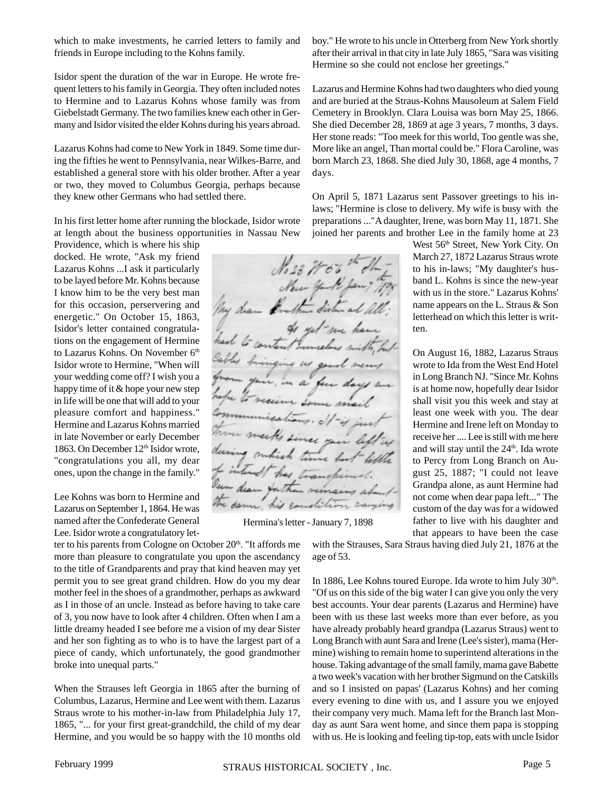Hermina's letter - January 7, 1898

 $N_{0.23}$  71

 $\mu\mu$ 

which to make investments, he carried letters to family and friends in Europe including to the Kohns family.

Isidor spent the duration of the war in Europe. He wrote frequent letters to his family in Georgia. They often included notes to Hermine and to Lazarus Kohns whose family was from Giebelstadt Germany. The two families knew each other in Germany and Isidor visited the elder Kohns during his years abroad.

Lazarus Kohns had come to New York in 1849. Some time during the fifties he went to Pennsylvania, near Wilkes-Barre, and established a general store with his older brother. After a year or two, they moved to Columbus Georgia, perhaps because they knew other Germans who had settled there.

In his first letter home after running the blockade, Isidor wrote at length about the business opportunities in Nassau New

Providence, which is where his ship docked. He wrote, "Ask my friend Lazarus Kohns ...I ask it particularly to be layed before Mr. Kohns because I know him to be the very best man for this occasion, perservering and energetic." On October 15, 1863, Isidor's letter contained congratulations on the engagement of Hermine to Lazarus Kohns. On November 6<sup>th</sup> Isidor wrote to Hermine, "When will your wedding come off? I wish you a happy time of it & hope your new step in life will be one that will add to your pleasure comfort and happiness." Hermine and Lazarus Kohns married in late November or early December 1863. On December 12<sup>th</sup> Isidor wrote, "congratulations you all, my dear ones, upon the change in the family."

Lee Kohns was born to Hermine and Lazarus on September 1, 1864. He was named after the Confederate General Lee. Isidor wrote a congratulatory let-

ter to his parents from Cologne on October 20<sup>th</sup>. "It affords me more than pleasure to congratulate you upon the ascendancy to the title of Grandparents and pray that kind heaven may yet permit you to see great grand children. How do you my dear mother feel in the shoes of a grandmother, perhaps as awkward as I in those of an uncle. Instead as before having to take care of 3, you now have to look after 4 children. Often when I am a little dreamy headed I see before me a vision of my dear Sister and her son fighting as to who is to have the largest part of a piece of candy, which unfortunately, the good grandmother broke into unequal parts."

When the Strauses left Georgia in 1865 after the burning of Columbus, Lazarus, Hermine and Lee went with them. Lazarus Straus wrote to his mother-in-law from Philadelphia July 17, 1865, "... for your first great-grandchild, the child of my dear Hermine, and you would be so happy with the 10 months old

boy." He wrote to his uncle in Otterberg from New York shortly after their arrival in that city in late July 1865, "Sara was visiting Hermine so she could not enclose her greetings."

Lazarus and Hermine Kohns had two daughters who died young and are buried at the Straus-Kohns Mausoleum at Salem Field Cemetery in Brooklyn. Clara Louisa was born May 25, 1866. She died December 28, 1869 at age 3 years, 7 months, 3 days. Her stone reads: "Too meek for this world, Too gentle was she, More like an angel, Than mortal could be." Flora Caroline, was born March 23, 1868. She died July 30, 1868, age 4 months, 7 days.

On April 5, 1871 Lazarus sent Passover greetings to his inlaws; "Hermine is close to delivery. My wife is busy with the preparations ..."A daughter, Irene, was born May 11, 1871. She joined her parents and brother Lee in the family home at 23

West 56<sup>th</sup> Street, New York City. On March 27, 1872 Lazarus Straus wrote to his in-laws; "My daughter's husband L. Kohns is since the new-year with us in the store." Lazarus Kohns' name appears on the L. Straus & Son letterhead on which this letter is written.

On August 16, 1882, Lazarus Straus wrote to Ida from the West End Hotel in Long Branch NJ. "Since Mr. Kohns is at home now, hopefully dear Isidor shall visit you this week and stay at least one week with you. The dear Hermine and Irene left on Monday to receive her .... Lee is still with me here and will stay until the 24<sup>th</sup>. Ida wrote to Percy from Long Branch on August 25, 1887; "I could not leave Grandpa alone, as aunt Hermine had not come when dear papa left..." The custom of the day was for a widowed father to live with his daughter and that appears to have been the case

with the Strauses, Sara Straus having died July 21, 1876 at the age of 53.

In 1886, Lee Kohns toured Europe. Ida wrote to him July 30<sup>th</sup>. "Of us on this side of the big water I can give you only the very best accounts. Your dear parents (Lazarus and Hermine) have been with us these last weeks more than ever before, as you have already probably heard grandpa (Lazarus Straus) went to Long Branch with aunt Sara and Irene (Lee's sister), mama (Hermine) wishing to remain home to superintend alterations in the house. Taking advantage of the small family, mama gave Babette a two week's vacation with her brother Sigmund on the Catskills and so I insisted on papas' (Lazarus Kohns) and her coming every evening to dine with us, and I assure you we enjoyed their company very much. Mama left for the Branch last Monday as aunt Sara went home, and since them papa is stopping with us. He is looking and feeling tip-top, eats with uncle Isidor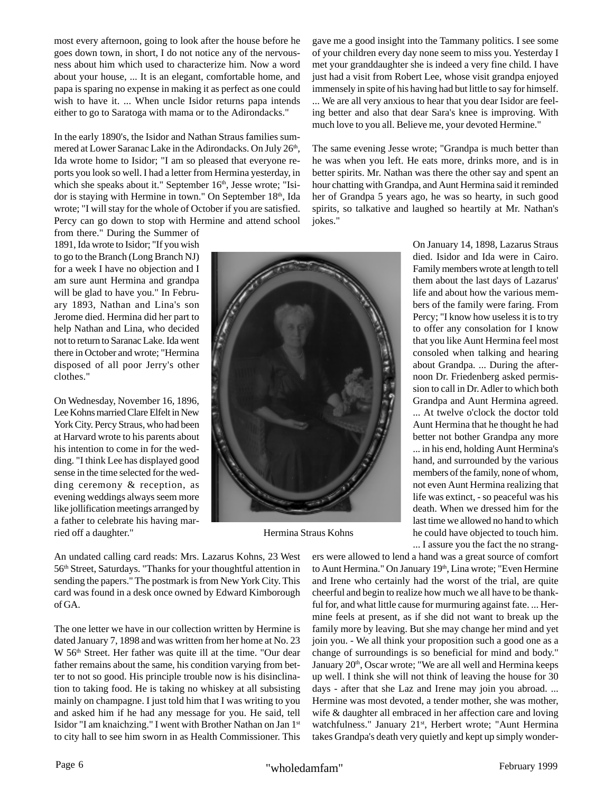most every afternoon, going to look after the house before he goes down town, in short, I do not notice any of the nervousness about him which used to characterize him. Now a word about your house, ... It is an elegant, comfortable home, and papa is sparing no expense in making it as perfect as one could wish to have it. ... When uncle Isidor returns papa intends either to go to Saratoga with mama or to the Adirondacks."

In the early 1890's, the Isidor and Nathan Straus families summered at Lower Saranac Lake in the Adirondacks. On July 26<sup>th</sup>, Ida wrote home to Isidor; "I am so pleased that everyone reports you look so well. I had a letter from Hermina yesterday, in which she speaks about it." September 16<sup>th</sup>, Jesse wrote; "Isidor is staying with Hermine in town." On September 18<sup>th</sup>, Ida wrote; "I will stay for the whole of October if you are satisfied. Percy can go down to stop with Hermine and attend school

from there." During the Summer of 1891, Ida wrote to Isidor; "If you wish to go to the Branch (Long Branch NJ) for a week I have no objection and I am sure aunt Hermina and grandpa will be glad to have you." In February 1893, Nathan and Lina's son Jerome died. Hermina did her part to help Nathan and Lina, who decided not to return to Saranac Lake. Ida went there in October and wrote; "Hermina disposed of all poor Jerry's other clothes."

On Wednesday, November 16, 1896, Lee Kohns married Clare Elfelt in New York City. Percy Straus, who had been at Harvard wrote to his parents about his intention to come in for the wedding. "I think Lee has displayed good sense in the time selected for the wedding ceremony & reception, as evening weddings always seem more like jollification meetings arranged by a father to celebrate his having married off a daughter."

An undated calling card reads: Mrs. Lazarus Kohns, 23 West 56th Street, Saturdays. "Thanks for your thoughtful attention in sending the papers." The postmark is from New York City. This card was found in a desk once owned by Edward Kimborough of GA.

The one letter we have in our collection written by Hermine is dated January 7, 1898 and was written from her home at No. 23 W 56<sup>th</sup> Street. Her father was quite ill at the time. "Our dear father remains about the same, his condition varying from better to not so good. His principle trouble now is his disinclination to taking food. He is taking no whiskey at all subsisting mainly on champagne. I just told him that I was writing to you and asked him if he had any message for you. He said, tell Isidor "I am knaichzing." I went with Brother Nathan on Jan 1st to city hall to see him sworn in as Health Commissioner. This

gave me a good insight into the Tammany politics. I see some of your children every day none seem to miss you. Yesterday I met your granddaughter she is indeed a very fine child. I have just had a visit from Robert Lee, whose visit grandpa enjoyed immensely in spite of his having had but little to say for himself. ... We are all very anxious to hear that you dear Isidor are feeling better and also that dear Sara's knee is improving. With much love to you all. Believe me, your devoted Hermine."

The same evening Jesse wrote; "Grandpa is much better than he was when you left. He eats more, drinks more, and is in better spirits. Mr. Nathan was there the other say and spent an hour chatting with Grandpa, and Aunt Hermina said it reminded her of Grandpa 5 years ago, he was so hearty, in such good spirits, so talkative and laughed so heartily at Mr. Nathan's jokes."



Hermina Straus Kohns

On January 14, 1898, Lazarus Straus died. Isidor and Ida were in Cairo. Family members wrote at length to tell them about the last days of Lazarus' life and about how the various members of the family were faring. From Percy; "I know how useless it is to try to offer any consolation for I know that you like Aunt Hermina feel most consoled when talking and hearing about Grandpa. ... During the afternoon Dr. Friedenberg asked permission to call in Dr. Adler to which both Grandpa and Aunt Hermina agreed. ... At twelve o'clock the doctor told Aunt Hermina that he thought he had better not bother Grandpa any more ... in his end, holding Aunt Hermina's hand, and surrounded by the various members of the family, none of whom, not even Aunt Hermina realizing that life was extinct, - so peaceful was his death. When we dressed him for the last time we allowed no hand to which he could have objected to touch him. ... I assure you the fact the no strang-

ers were allowed to lend a hand was a great source of comfort to Aunt Hermina." On January 19<sup>th</sup>, Lina wrote; "Even Hermine and Irene who certainly had the worst of the trial, are quite cheerful and begin to realize how much we all have to be thankful for, and what little cause for murmuring against fate. ... Hermine feels at present, as if she did not want to break up the family more by leaving. But she may change her mind and yet join you. - We all think your proposition such a good one as a change of surroundings is so beneficial for mind and body." January 20<sup>th</sup>, Oscar wrote; "We are all well and Hermina keeps up well. I think she will not think of leaving the house for 30 days - after that she Laz and Irene may join you abroad. ... Hermine was most devoted, a tender mother, she was mother, wife & daughter all embraced in her affection care and loving watchfulness." January 21<sup>st</sup>, Herbert wrote; "Aunt Hermina takes Grandpa's death very quietly and kept up simply wonder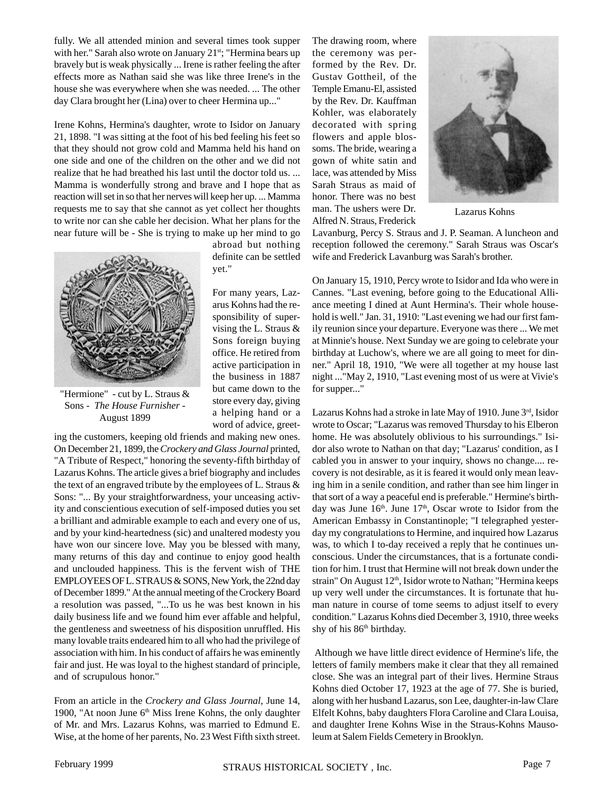fully. We all attended minion and several times took supper with her." Sarah also wrote on January 21<sup>st</sup>; "Hermina bears up bravely but is weak physically ... Irene is rather feeling the after effects more as Nathan said she was like three Irene's in the house she was everywhere when she was needed. ... The other day Clara brought her (Lina) over to cheer Hermina up..."

Irene Kohns, Hermina's daughter, wrote to Isidor on January 21, 1898. "I was sitting at the foot of his bed feeling his feet so that they should not grow cold and Mamma held his hand on one side and one of the children on the other and we did not realize that he had breathed his last until the doctor told us. ... Mamma is wonderfully strong and brave and I hope that as reaction will set in so that her nerves will keep her up. ... Mamma requests me to say that she cannot as yet collect her thoughts to write nor can she cable her decision. What her plans for the near future will be - She is trying to make up her mind to go



"Hermione" - cut by L. Straus & Sons - *The House Furnisher* - August 1899

ing the customers, keeping old friends and making new ones. On December 21, 1899, the *Crockery and Glass Journal* printed, "A Tribute of Respect," honoring the seventy-fifth birthday of Lazarus Kohns. The article gives a brief biography and includes the text of an engraved tribute by the employees of L. Straus & Sons: "... By your straightforwardness, your unceasing activity and conscientious execution of self-imposed duties you set a brilliant and admirable example to each and every one of us, and by your kind-heartedness (sic) and unaltered modesty you have won our sincere love. May you be blessed with many, many returns of this day and continue to enjoy good health and unclouded happiness. This is the fervent wish of THE EMPLOYEES OF L. STRAUS & SONS, New York, the 22nd day of December 1899." At the annual meeting of the Crockery Board a resolution was passed, "...To us he was best known in his daily business life and we found him ever affable and helpful, the gentleness and sweetness of his disposition unruffled. His many lovable traits endeared him to all who had the privilege of association with him. In his conduct of affairs he was eminently fair and just. He was loyal to the highest standard of principle, and of scrupulous honor."

From an article in the *Crockery and Glass Journal*, June 14, 1900, "At noon June 6<sup>th</sup> Miss Irene Kohns, the only daughter of Mr. and Mrs. Lazarus Kohns, was married to Edmund E. Wise, at the home of her parents, No. 23 West Fifth sixth street.

abroad but nothing definite can be settled yet."

For many years, Lazarus Kohns had the responsibility of supervising the L. Straus & Sons foreign buying office. He retired from active participation in the business in 1887 but came down to the store every day, giving a helping hand or a word of advice, greetThe drawing room, where the ceremony was performed by the Rev. Dr. Gustav Gottheil, of the Temple Emanu-El, assisted by the Rev. Dr. Kauffman Kohler, was elaborately decorated with spring flowers and apple blossoms. The bride, wearing a gown of white satin and lace, was attended by Miss Sarah Straus as maid of honor. There was no best man. The ushers were Dr. Alfred N. Straus, Frederick



Lazarus Kohns

Lavanburg, Percy S. Straus and J. P. Seaman. A luncheon and reception followed the ceremony." Sarah Straus was Oscar's wife and Frederick Lavanburg was Sarah's brother.

On January 15, 1910, Percy wrote to Isidor and Ida who were in Cannes. "Last evening, before going to the Educational Alliance meeting I dined at Aunt Hermina's. Their whole household is well." Jan. 31, 1910: "Last evening we had our first family reunion since your departure. Everyone was there ... We met at Minnie's house. Next Sunday we are going to celebrate your birthday at Luchow's, where we are all going to meet for dinner." April 18, 1910, "We were all together at my house last night ..."May 2, 1910, "Last evening most of us were at Vivie's for supper..."

Lazarus Kohns had a stroke in late May of 1910. June 3rd, Isidor wrote to Oscar; "Lazarus was removed Thursday to his Elberon home. He was absolutely oblivious to his surroundings." Isidor also wrote to Nathan on that day; "Lazarus' condition, as I cabled you in answer to your inquiry, shows no change.... recovery is not desirable, as it is feared it would only mean leaving him in a senile condition, and rather than see him linger in that sort of a way a peaceful end is preferable." Hermine's birthday was June  $16<sup>th</sup>$ . June  $17<sup>th</sup>$ , Oscar wrote to Isidor from the American Embassy in Constantinople; "I telegraphed yesterday my congratulations to Hermine, and inquired how Lazarus was, to which I to-day received a reply that he continues unconscious. Under the circumstances, that is a fortunate condition for him. I trust that Hermine will not break down under the strain" On August 12<sup>th</sup>, Isidor wrote to Nathan; "Hermina keeps up very well under the circumstances. It is fortunate that human nature in course of tome seems to adjust itself to every condition." Lazarus Kohns died December 3, 1910, three weeks shy of his 86<sup>th</sup> birthday.

 Although we have little direct evidence of Hermine's life, the letters of family members make it clear that they all remained close. She was an integral part of their lives. Hermine Straus Kohns died October 17, 1923 at the age of 77. She is buried, along with her husband Lazarus, son Lee, daughter-in-law Clare Elfelt Kohns, baby daughters Flora Caroline and Clara Louisa, and daughter Irene Kohns Wise in the Straus-Kohns Mausoleum at Salem Fields Cemetery in Brooklyn.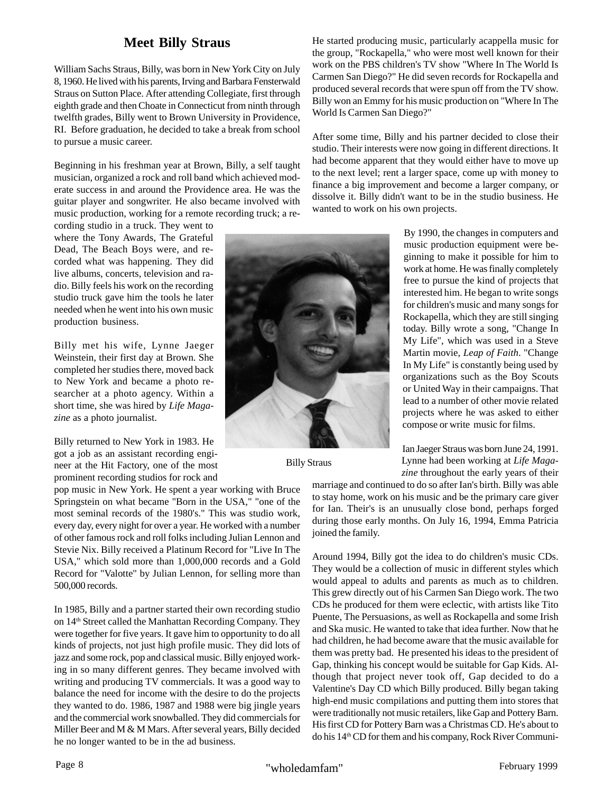## **Meet Billy Straus**

William Sachs Straus, Billy, was born in New York City on July 8, 1960. He lived with his parents, Irving and Barbara Fensterwald Straus on Sutton Place. After attending Collegiate, first through eighth grade and then Choate in Connecticut from ninth through twelfth grades, Billy went to Brown University in Providence, RI. Before graduation, he decided to take a break from school to pursue a music career.

Beginning in his freshman year at Brown, Billy, a self taught musician, organized a rock and roll band which achieved moderate success in and around the Providence area. He was the guitar player and songwriter. He also became involved with music production, working for a remote recording truck; a re-

cording studio in a truck. They went to where the Tony Awards, The Grateful Dead, The Beach Boys were, and recorded what was happening. They did live albums, concerts, television and radio. Billy feels his work on the recording studio truck gave him the tools he later needed when he went into his own music production business.

Billy met his wife, Lynne Jaeger Weinstein, their first day at Brown. She completed her studies there, moved back to New York and became a photo researcher at a photo agency. Within a short time, she was hired by *Life Magazine* as a photo journalist.

Billy returned to New York in 1983. He got a job as an assistant recording engineer at the Hit Factory, one of the most prominent recording studios for rock and

pop music in New York. He spent a year working with Bruce Springstein on what became "Born in the USA," "one of the most seminal records of the 1980's." This was studio work, every day, every night for over a year. He worked with a number of other famous rock and roll folks including Julian Lennon and Stevie Nix. Billy received a Platinum Record for "Live In The USA," which sold more than 1,000,000 records and a Gold Record for "Valotte" by Julian Lennon, for selling more than 500,000 records.

In 1985, Billy and a partner started their own recording studio on 14<sup>th</sup> Street called the Manhattan Recording Company. They were together for five years. It gave him to opportunity to do all kinds of projects, not just high profile music. They did lots of jazz and some rock, pop and classical music. Billy enjoyed working in so many different genres. They became involved with writing and producing TV commercials. It was a good way to balance the need for income with the desire to do the projects they wanted to do. 1986, 1987 and 1988 were big jingle years and the commercial work snowballed. They did commercials for Miller Beer and M & M Mars. After several years, Billy decided he no longer wanted to be in the ad business.

He started producing music, particularly acappella music for the group, "Rockapella," who were most well known for their work on the PBS children's TV show "Where In The World Is Carmen San Diego?" He did seven records for Rockapella and produced several records that were spun off from the TV show. Billy won an Emmy for his music production on "Where In The World Is Carmen San Diego?"

After some time, Billy and his partner decided to close their studio. Their interests were now going in different directions. It had become apparent that they would either have to move up to the next level; rent a larger space, come up with money to finance a big improvement and become a larger company, or dissolve it. Billy didn't want to be in the studio business. He wanted to work on his own projects.

> By 1990, the changes in computers and music production equipment were beginning to make it possible for him to work at home. He was finally completely free to pursue the kind of projects that interested him. He began to write songs for children's music and many songs for Rockapella, which they are still singing today. Billy wrote a song, "Change In My Life", which was used in a Steve Martin movie, *Leap of Faith*. "Change In My Life" is constantly being used by organizations such as the Boy Scouts or United Way in their campaigns. That lead to a number of other movie related projects where he was asked to either compose or write music for films.

Ian Jaeger Straus was born June 24, 1991. Lynne had been working at *Life Magazine* throughout the early years of their

marriage and continued to do so after Ian's birth. Billy was able to stay home, work on his music and be the primary care giver for Ian. Their's is an unusually close bond, perhaps forged during those early months. On July 16, 1994, Emma Patricia joined the family.

Around 1994, Billy got the idea to do children's music CDs. They would be a collection of music in different styles which would appeal to adults and parents as much as to children. This grew directly out of his Carmen San Diego work. The two CDs he produced for them were eclectic, with artists like Tito Puente, The Persuasions, as well as Rockapella and some Irish and Ska music. He wanted to take that idea further. Now that he had children, he had become aware that the music available for them was pretty bad. He presented his ideas to the president of Gap, thinking his concept would be suitable for Gap Kids. Although that project never took off, Gap decided to do a Valentine's Day CD which Billy produced. Billy began taking high-end music compilations and putting them into stores that were traditionally not music retailers, like Gap and Pottery Barn. His first CD for Pottery Barn was a Christmas CD. He's about to do his 14<sup>th</sup> CD for them and his company, Rock River Communi-



Billy Straus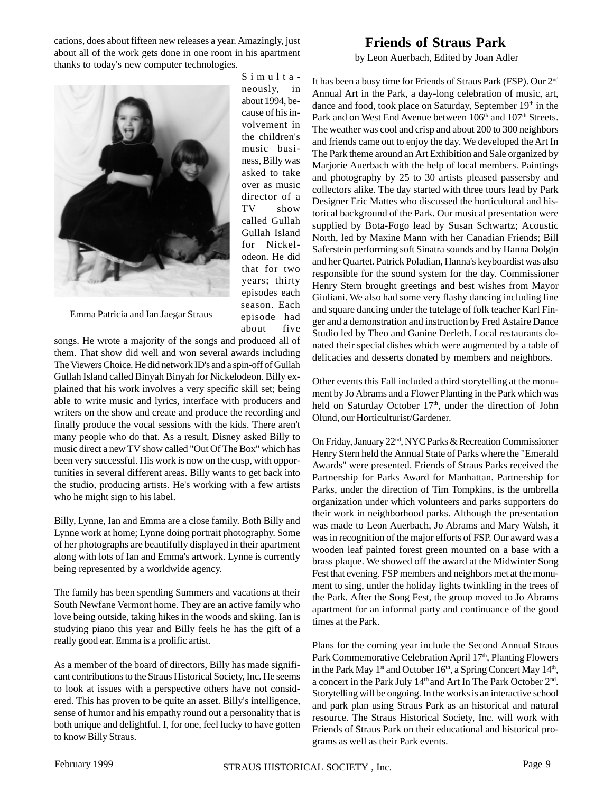cations, does about fifteen new releases a year. Amazingly, just about all of the work gets done in one room in his apartment thanks to today's new computer technologies.

> Simultaneously, in about 1994, because of his involvement in the children's music business, Billy was asked to take over as music director of a TV show called Gullah Gullah Island for Nickelodeon. He did that for two years; thirty episodes each season. Each episode had about five



Emma Patricia and Ian Jaegar Straus

songs. He wrote a majority of the songs and produced all of them. That show did well and won several awards including The Viewers Choice. He did network ID's and a spin-off of Gullah Gullah Island called Binyah Binyah for Nickelodeon. Billy explained that his work involves a very specific skill set; being able to write music and lyrics, interface with producers and writers on the show and create and produce the recording and finally produce the vocal sessions with the kids. There aren't many people who do that. As a result, Disney asked Billy to music direct a new TV show called "Out Of The Box" which has been very successful. His work is now on the cusp, with opportunities in several different areas. Billy wants to get back into the studio, producing artists. He's working with a few artists who he might sign to his label.

Billy, Lynne, Ian and Emma are a close family. Both Billy and Lynne work at home; Lynne doing portrait photography. Some of her photographs are beautifully displayed in their apartment along with lots of Ian and Emma's artwork. Lynne is currently being represented by a worldwide agency.

The family has been spending Summers and vacations at their South Newfane Vermont home. They are an active family who love being outside, taking hikes in the woods and skiing. Ian is studying piano this year and Billy feels he has the gift of a really good ear. Emma is a prolific artist.

As a member of the board of directors, Billy has made significant contributions to the Straus Historical Society, Inc. He seems to look at issues with a perspective others have not considered. This has proven to be quite an asset. Billy's intelligence, sense of humor and his empathy round out a personality that is both unique and delightful. I, for one, feel lucky to have gotten to know Billy Straus.

#### **Friends of Straus Park**

by Leon Auerbach, Edited by Joan Adler

It has been a busy time for Friends of Straus Park (FSP). Our 2nd Annual Art in the Park, a day-long celebration of music, art, dance and food, took place on Saturday, September 19<sup>th</sup> in the Park and on West End Avenue between 106<sup>th</sup> and 107<sup>th</sup> Streets. The weather was cool and crisp and about 200 to 300 neighbors and friends came out to enjoy the day. We developed the Art In The Park theme around an Art Exhibition and Sale organized by Marjorie Auerbach with the help of local members. Paintings and photography by 25 to 30 artists pleased passersby and collectors alike. The day started with three tours lead by Park Designer Eric Mattes who discussed the horticultural and historical background of the Park. Our musical presentation were supplied by Bota-Fogo lead by Susan Schwartz; Acoustic North, led by Maxine Mann with her Canadian Friends; Bill Saferstein performing soft Sinatra sounds and by Hanna Dolgin and her Quartet. Patrick Poladian, Hanna's keyboardist was also responsible for the sound system for the day. Commissioner Henry Stern brought greetings and best wishes from Mayor Giuliani. We also had some very flashy dancing including line and square dancing under the tutelage of folk teacher Karl Finger and a demonstration and instruction by Fred Astaire Dance Studio led by Theo and Ganine Derleth. Local restaurants donated their special dishes which were augmented by a table of delicacies and desserts donated by members and neighbors.

Other events this Fall included a third storytelling at the monument by Jo Abrams and a Flower Planting in the Park which was held on Saturday October 17<sup>th</sup>, under the direction of John Olund, our Horticulturist/Gardener.

On Friday, January 22nd, NYC Parks & Recreation Commissioner Henry Stern held the Annual State of Parks where the "Emerald Awards" were presented. Friends of Straus Parks received the Partnership for Parks Award for Manhattan. Partnership for Parks, under the direction of Tim Tompkins, is the umbrella organization under which volunteers and parks supporters do their work in neighborhood parks. Although the presentation was made to Leon Auerbach, Jo Abrams and Mary Walsh, it was in recognition of the major efforts of FSP. Our award was a wooden leaf painted forest green mounted on a base with a brass plaque. We showed off the award at the Midwinter Song Fest that evening. FSP members and neighbors met at the monument to sing, under the holiday lights twinkling in the trees of the Park. After the Song Fest, the group moved to Jo Abrams apartment for an informal party and continuance of the good times at the Park.

Plans for the coming year include the Second Annual Straus Park Commemorative Celebration April 17<sup>th</sup>, Planting Flowers in the Park May  $1<sup>st</sup>$  and October  $16<sup>th</sup>$ , a Spring Concert May  $14<sup>th</sup>$ , a concert in the Park July 14<sup>th</sup> and Art In The Park October 2<sup>nd</sup>. Storytelling will be ongoing. In the works is an interactive school and park plan using Straus Park as an historical and natural resource. The Straus Historical Society, Inc. will work with Friends of Straus Park on their educational and historical programs as well as their Park events.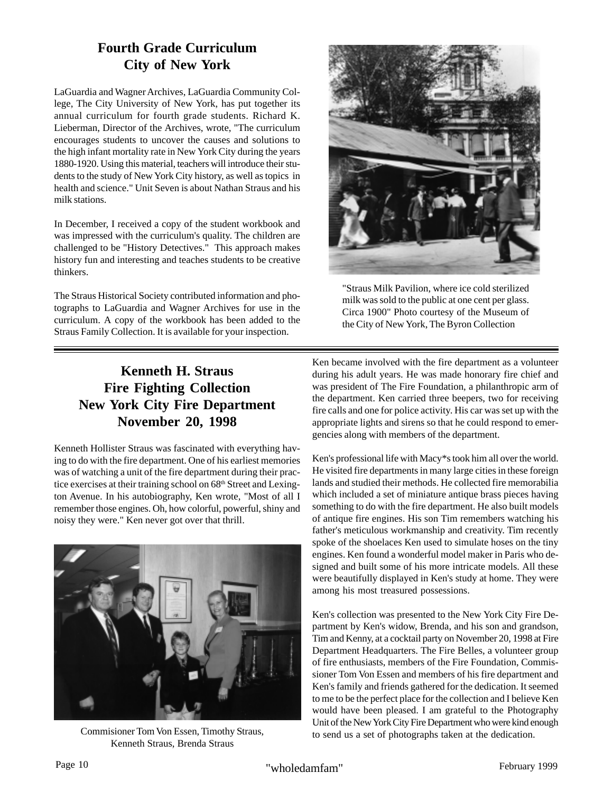## **Fourth Grade Curriculum City of New York**

LaGuardia and Wagner Archives, LaGuardia Community College, The City University of New York, has put together its annual curriculum for fourth grade students. Richard K. Lieberman, Director of the Archives, wrote, "The curriculum encourages students to uncover the causes and solutions to the high infant mortality rate in New York City during the years 1880-1920. Using this material, teachers will introduce their students to the study of New York City history, as well as topics in health and science." Unit Seven is about Nathan Straus and his milk stations.

In December, I received a copy of the student workbook and was impressed with the curriculum's quality. The children are challenged to be "History Detectives." This approach makes history fun and interesting and teaches students to be creative thinkers.

The Straus Historical Society contributed information and photographs to LaGuardia and Wagner Archives for use in the curriculum. A copy of the workbook has been added to the Straus Family Collection. It is available for your inspection.

## **Kenneth H. Straus Fire Fighting Collection New York City Fire Department November 20, 1998**

Kenneth Hollister Straus was fascinated with everything having to do with the fire department. One of his earliest memories was of watching a unit of the fire department during their practice exercises at their training school on 68<sup>th</sup> Street and Lexington Avenue. In his autobiography, Ken wrote, "Most of all I remember those engines. Oh, how colorful, powerful, shiny and noisy they were." Ken never got over that thrill.





"Straus Milk Pavilion, where ice cold sterilized milk was sold to the public at one cent per glass. Circa 1900" Photo courtesy of the Museum of the City of New York, The Byron Collection

Ken became involved with the fire department as a volunteer during his adult years. He was made honorary fire chief and was president of The Fire Foundation, a philanthropic arm of the department. Ken carried three beepers, two for receiving fire calls and one for police activity. His car was set up with the appropriate lights and sirens so that he could respond to emergencies along with members of the department.

Ken's professional life with Macy\*s took him all over the world. He visited fire departments in many large cities in these foreign lands and studied their methods. He collected fire memorabilia which included a set of miniature antique brass pieces having something to do with the fire department. He also built models of antique fire engines. His son Tim remembers watching his father's meticulous workmanship and creativity. Tim recently spoke of the shoelaces Ken used to simulate hoses on the tiny engines. Ken found a wonderful model maker in Paris who designed and built some of his more intricate models. All these were beautifully displayed in Ken's study at home. They were among his most treasured possessions.

Ken's collection was presented to the New York City Fire Department by Ken's widow, Brenda, and his son and grandson, Tim and Kenny, at a cocktail party on November 20, 1998 at Fire Department Headquarters. The Fire Belles, a volunteer group of fire enthusiasts, members of the Fire Foundation, Commissioner Tom Von Essen and members of his fire department and Ken's family and friends gathered for the dedication. It seemed to me to be the perfect place for the collection and I believe Ken would have been pleased. I am grateful to the Photography Unit of the New York City Fire Department who were kind enough<br>to send us a set of photographs taken at the dedication.<br>Kenneth Straus, Brenda Straus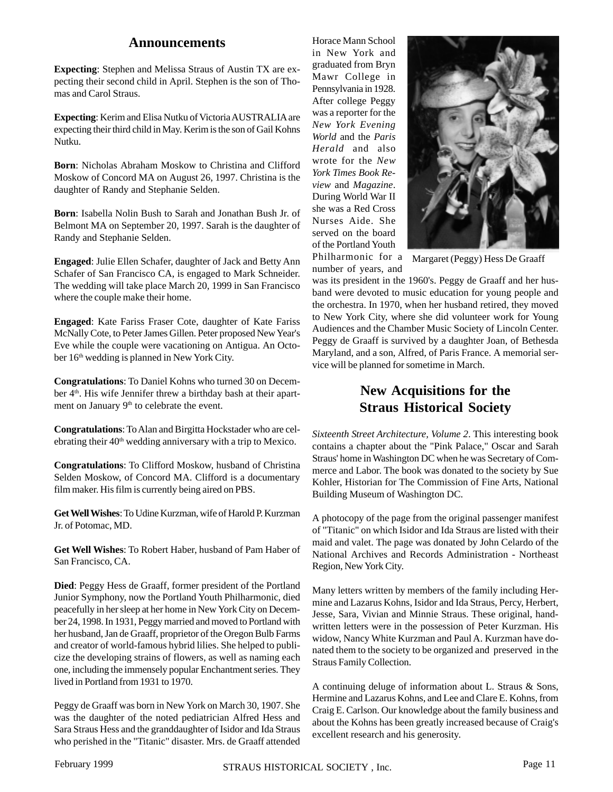#### **Announcements**

**Expecting**: Stephen and Melissa Straus of Austin TX are expecting their second child in April. Stephen is the son of Thomas and Carol Straus.

**Expecting**: Kerim and Elisa Nutku of Victoria AUSTRALIA are expecting their third child in May. Kerim is the son of Gail Kohns Nutku.

**Born**: Nicholas Abraham Moskow to Christina and Clifford Moskow of Concord MA on August 26, 1997. Christina is the daughter of Randy and Stephanie Selden.

**Born**: Isabella Nolin Bush to Sarah and Jonathan Bush Jr. of Belmont MA on September 20, 1997. Sarah is the daughter of Randy and Stephanie Selden.

**Engaged**: Julie Ellen Schafer, daughter of Jack and Betty Ann Schafer of San Francisco CA, is engaged to Mark Schneider. The wedding will take place March 20, 1999 in San Francisco where the couple make their home.

**Engaged**: Kate Fariss Fraser Cote, daughter of Kate Fariss McNally Cote, to Peter James Gillen. Peter proposed New Year's Eve while the couple were vacationing on Antigua. An October 16<sup>th</sup> wedding is planned in New York City.

**Congratulations**: To Daniel Kohns who turned 30 on December 4<sup>th</sup>. His wife Jennifer threw a birthday bash at their apartment on January 9<sup>th</sup> to celebrate the event.

**Congratulations**: To Alan and Birgitta Hockstader who are celebrating their 40<sup>th</sup> wedding anniversary with a trip to Mexico.

**Congratulations**: To Clifford Moskow, husband of Christina Selden Moskow, of Concord MA. Clifford is a documentary film maker. His film is currently being aired on PBS.

**Get Well Wishes**: To Udine Kurzman, wife of Harold P. Kurzman Jr. of Potomac, MD.

**Get Well Wishes**: To Robert Haber, husband of Pam Haber of San Francisco, CA.

**Died**: Peggy Hess de Graaff, former president of the Portland Junior Symphony, now the Portland Youth Philharmonic, died peacefully in her sleep at her home in New York City on December 24, 1998. In 1931, Peggy married and moved to Portland with her husband, Jan de Graaff, proprietor of the Oregon Bulb Farms and creator of world-famous hybrid lilies. She helped to publicize the developing strains of flowers, as well as naming each one, including the immensely popular Enchantment series. They lived in Portland from 1931 to 1970.

Peggy de Graaff was born in New York on March 30, 1907. She was the daughter of the noted pediatrician Alfred Hess and Sara Straus Hess and the granddaughter of Isidor and Ida Straus who perished in the "Titanic" disaster. Mrs. de Graaff attended Horace Mann School in New York and graduated from Bryn Mawr College in Pennsylvania in 1928. After college Peggy was a reporter for the *New York Evening World* and the *Paris Herald* and also wrote for the *New York Times Book Review* and *Magazine*. During World War II she was a Red Cross Nurses Aide. She served on the board of the Portland Youth Philharmonic for a



Margaret (Peggy) Hess De Graaff

number of years, and was its president in the 1960's. Peggy de Graaff and her husband were devoted to music education for young people and the orchestra. In 1970, when her husband retired, they moved to New York City, where she did volunteer work for Young Audiences and the Chamber Music Society of Lincoln Center. Peggy de Graaff is survived by a daughter Joan, of Bethesda Maryland, and a son, Alfred, of Paris France. A memorial service will be planned for sometime in March.

## **New Acquisitions for the Straus Historical Society**

*Sixteenth Street Architecture, Volume 2*. This interesting book contains a chapter about the "Pink Palace," Oscar and Sarah Straus' home in Washington DC when he was Secretary of Commerce and Labor. The book was donated to the society by Sue Kohler, Historian for The Commission of Fine Arts, National Building Museum of Washington DC.

A photocopy of the page from the original passenger manifest of "Titanic" on which Isidor and Ida Straus are listed with their maid and valet. The page was donated by John Celardo of the National Archives and Records Administration - Northeast Region, New York City.

Many letters written by members of the family including Hermine and Lazarus Kohns, Isidor and Ida Straus, Percy, Herbert, Jesse, Sara, Vivian and Minnie Straus. These original, handwritten letters were in the possession of Peter Kurzman. His widow, Nancy White Kurzman and Paul A. Kurzman have donated them to the society to be organized and preserved in the Straus Family Collection.

A continuing deluge of information about L. Straus & Sons, Hermine and Lazarus Kohns, and Lee and Clare E. Kohns, from Craig E. Carlson. Our knowledge about the family business and about the Kohns has been greatly increased because of Craig's excellent research and his generosity.